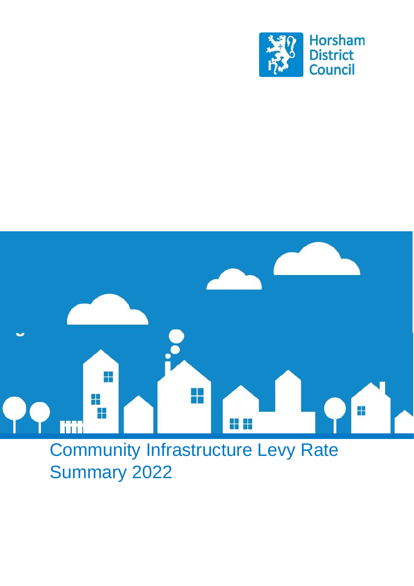



# Community Infrastructure Levy Rate Summary 2022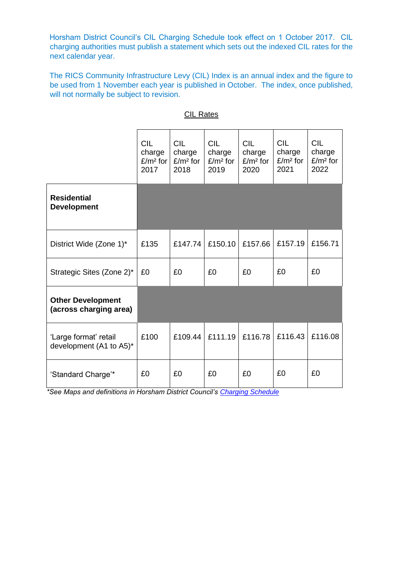Horsham District Council's CIL Charging Schedule took effect on 1 October 2017. CIL charging authorities must publish a statement which sets out the indexed CIL rates for the next calendar year.

The RICS Community Infrastructure Levy (CIL) Index is an annual index and the figure to be used from 1 November each year is published in October. The index, once published, will not normally be subject to revision.

|                                                    | <b>CIL</b><br>charge<br>£/m <sup>2</sup> for<br>2017 | <b>CIL</b><br>charge<br>$E/m2$ for<br>2018 | <b>CIL</b><br>charge<br>$E/m2$ for<br>2019 | <b>CIL</b><br>charge<br>$E/m2$ for<br>2020 | <b>CIL</b><br>charge<br>$E/m2$ for<br>2021 | <b>CIL</b><br>charge<br>$E/m2$ for<br>2022 |
|----------------------------------------------------|------------------------------------------------------|--------------------------------------------|--------------------------------------------|--------------------------------------------|--------------------------------------------|--------------------------------------------|
| <b>Residential</b><br><b>Development</b>           |                                                      |                                            |                                            |                                            |                                            |                                            |
| District Wide (Zone 1)*                            | £135                                                 | £147.74                                    | £150.10                                    | £157.66                                    | £157.19                                    | £156.71                                    |
| Strategic Sites (Zone 2)*                          | £0                                                   | £0                                         | £0                                         | £0                                         | £0                                         | £0                                         |
| <b>Other Development</b><br>(across charging area) |                                                      |                                            |                                            |                                            |                                            |                                            |
| 'Large format' retail<br>development (A1 to A5)*   | £100                                                 | £109.44                                    | £111.19                                    | £116.78                                    | £116.43                                    | £116.08                                    |
| 'Standard Charge'*                                 | £0                                                   | £0                                         | £0                                         | £0                                         | £0                                         | £0                                         |

## CIL Rates

*\*See Maps and definitions in Horsham District Council's [Charging Schedule](https://beta.horsham.gov.uk/__data/assets/pdf_file/0003/62868/Horsham-CIL-Charging-Schedule_April-2017.pdf)*